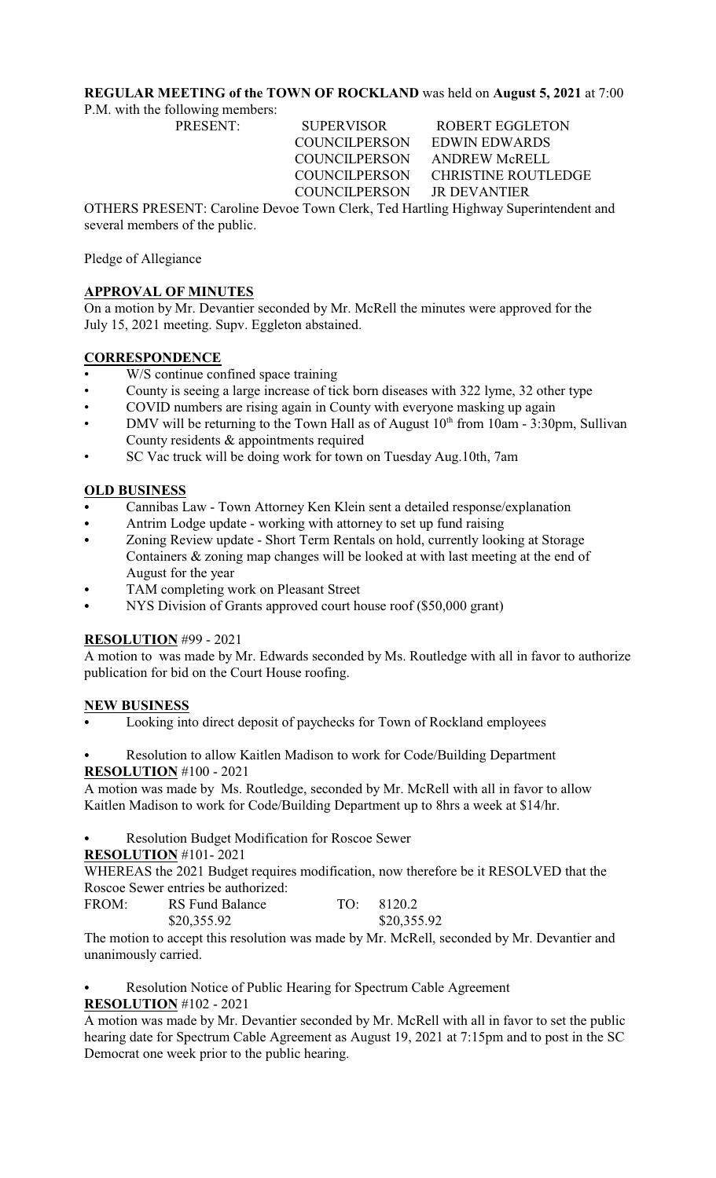# **REGULAR MEETING of the TOWN OF ROCKLAND** was held on **August 5, 2021** at 7:00

P.M. with the following members:

PRESENT: SUPERVISOR ROBERT EGGLETON COUNCILPERSON EDWIN EDWARDS COUNCILPERSON ANDREW McRELL COUNCILPERSON CHRISTINE ROUTLEDGE COUNCILPERSON JR DEVANTIER

OTHERS PRESENT: Caroline Devoe Town Clerk, Ted Hartling Highway Superintendent and several members of the public.

Pledge of Allegiance

# **APPROVAL OF MINUTES**

On a motion by Mr. Devantier seconded by Mr. McRell the minutes were approved for the July 15, 2021 meeting. Supv. Eggleton abstained.

# **CORRESPONDENCE**

- W/S continue confined space training
- County is seeing a large increase of tick born diseases with 322 lyme, 32 other type
- COVID numbers are rising again in County with everyone masking up again
- DMV will be returning to the Town Hall as of August  $10<sup>th</sup>$  from 10am 3:30pm, Sullivan County residents & appointments required
- SC Vac truck will be doing work for town on Tuesday Aug.10th, 7am

## **OLD BUSINESS**

- C Cannibas Law Town Attorney Ken Klein sent a detailed response/explanation
- Antrim Lodge update working with attorney to set up fund raising
- Zoning Review update Short Term Rentals on hold, currently looking at Storage Containers & zoning map changes will be looked at with last meeting at the end of August for the year
- TAM completing work on Pleasant Street
- NYS Division of Grants approved court house roof (\$50,000 grant)

## **RESOLUTION** #99 - 2021

A motion to was made by Mr. Edwards seconded by Ms. Routledge with all in favor to authorize publication for bid on the Court House roofing.

## **NEW BUSINESS**

Looking into direct deposit of paychecks for Town of Rockland employees

Resolution to allow Kaitlen Madison to work for Code/Building Department **RESOLUTION** #100 - 2021

A motion was made by Ms. Routledge, seconded by Mr. McRell with all in favor to allow Kaitlen Madison to work for Code/Building Department up to 8hrs a week at \$14/hr.

Resolution Budget Modification for Roscoe Sewer

**RESOLUTION** #101- 2021

WHEREAS the 2021 Budget requires modification, now therefore be it RESOLVED that the Roscoe Sewer entries be authorized:

| FROM: | RS Fund Balance | TO: 8120.2  |
|-------|-----------------|-------------|
|       | \$20,355.92     | \$20,355.92 |

The motion to accept this resolution was made by Mr. McRell, seconded by Mr. Devantier and unanimously carried.

Resolution Notice of Public Hearing for Spectrum Cable Agreement

# **RESOLUTION** #102 - 2021

A motion was made by Mr. Devantier seconded by Mr. McRell with all in favor to set the public hearing date for Spectrum Cable Agreement as August 19, 2021 at 7:15pm and to post in the SC Democrat one week prior to the public hearing.